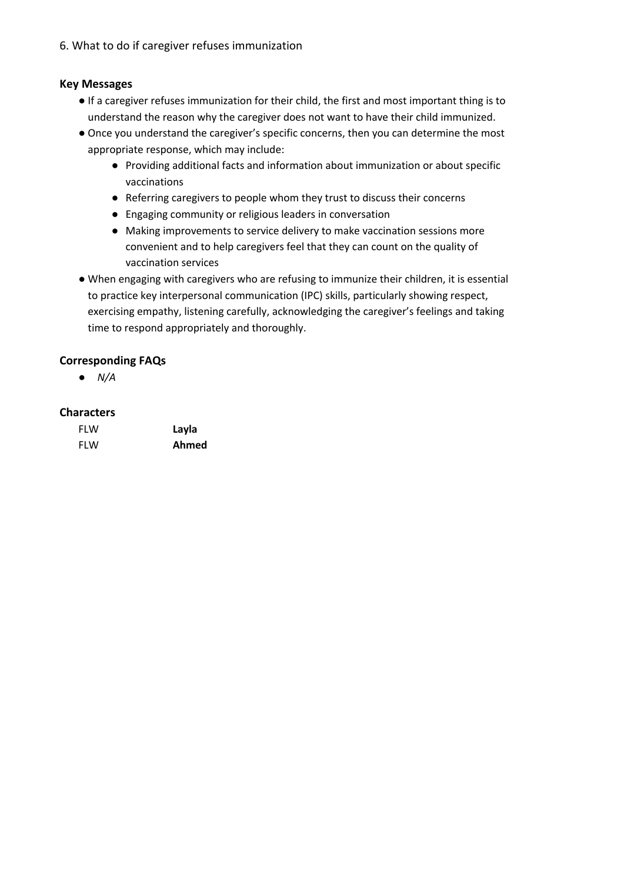6. What to do if caregiver refuses immunization

## **Key Messages**

- If a caregiver refuses immunization for their child, the first and most important thing is to understand the reason why the caregiver does not want to have their child immunized.
- Once you understand the caregiver's specific concerns, then you can determine the most appropriate response, which may include:
	- Providing additional facts and information about immunization or about specific vaccinations
	- Referring caregivers to people whom they trust to discuss their concerns
	- Engaging community or religious leaders in conversation
	- Making improvements to service delivery to make vaccination sessions more convenient and to help caregivers feel that they can count on the quality of vaccination services
- When engaging with caregivers who are refusing to immunize their children, it is essential to practice key interpersonal communication (IPC) skills, particularly showing respect, exercising empathy, listening carefully, acknowledging the caregiver's feelings and taking time to respond appropriately and thoroughly.

## **Corresponding FAQs**

● *N/A*

## **Characters**

| <b>FLW</b> | Layla |
|------------|-------|
| <b>FLW</b> | Ahmed |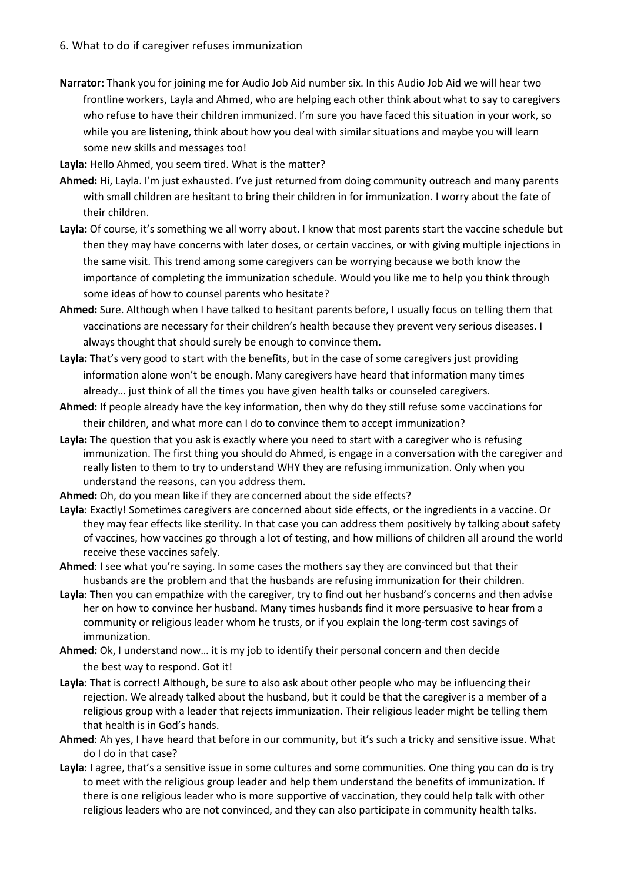**Narrator:** Thank you for joining me for Audio Job Aid number six. In this Audio Job Aid we will hear two frontline workers, Layla and Ahmed, who are helping each other think about what to say to caregivers who refuse to have their children immunized. I'm sure you have faced this situation in your work, so while you are listening, think about how you deal with similar situations and maybe you will learn some new skills and messages too!

**Layla:** Hello Ahmed, you seem tired. What is the matter?

- **Ahmed:** Hi, Layla. I'm just exhausted. I've just returned from doing community outreach and many parents with small children are hesitant to bring their children in for immunization. I worry about the fate of their children.
- **Layla:** Of course, it's something we all worry about. I know that most parents start the vaccine schedule but then they may have concerns with later doses, or certain vaccines, or with giving multiple injections in the same visit. This trend among some caregivers can be worrying because we both know the importance of completing the immunization schedule. Would you like me to help you think through some ideas of how to counsel parents who hesitate?
- **Ahmed:** Sure. Although when I have talked to hesitant parents before, I usually focus on telling them that vaccinations are necessary for their children's health because they prevent very serious diseases. I always thought that should surely be enough to convince them.
- **Layla:** That's very good to start with the benefits, but in the case of some caregivers just providing information alone won't be enough. Many caregivers have heard that information many times already… just think of all the times you have given health talks or counseled caregivers.
- **Ahmed:** If people already have the key information, then why do they still refuse some vaccinations for their children, and what more can I do to convince them to accept immunization?
- **Layla:** The question that you ask is exactly where you need to start with a caregiver who is refusing immunization. The first thing you should do Ahmed, is engage in a conversation with the caregiver and really listen to them to try to understand WHY they are refusing immunization. Only when you understand the reasons, can you address them.
- **Ahmed:** Oh, do you mean like if they are concerned about the side effects?
- **Layla**: Exactly! Sometimes caregivers are concerned about side effects, or the ingredients in a vaccine. Or they may fear effects like sterility. In that case you can address them positively by talking about safety of vaccines, how vaccines go through a lot of testing, and how millions of children all around the world receive these vaccines safely.
- **Ahmed**: I see what you're saying. In some cases the mothers say they are convinced but that their husbands are the problem and that the husbands are refusing immunization for their children.
- **Layla**: Then you can empathize with the caregiver, try to find out her husband's concerns and then advise her on how to convince her husband. Many times husbands find it more persuasive to hear from a community or religious leader whom he trusts, or if you explain the long-term cost savings of immunization.
- **Ahmed:** Ok, I understand now… it is my job to identify their personal concern and then decide the best way to respond. Got it!
- Layla: That is correct! Although, be sure to also ask about other people who may be influencing their rejection. We already talked about the husband, but it could be that the caregiver is a member of a religious group with a leader that rejects immunization. Their religious leader might be telling them that health is in God's hands.
- **Ahmed**: Ah yes, I have heard that before in our community, but it's such a tricky and sensitive issue. What do I do in that case?
- **Layla**: I agree, that's a sensitive issue in some cultures and some communities. One thing you can do is try to meet with the religious group leader and help them understand the benefits of immunization. If there is one religious leader who is more supportive of vaccination, they could help talk with other religious leaders who are not convinced, and they can also participate in community health talks.